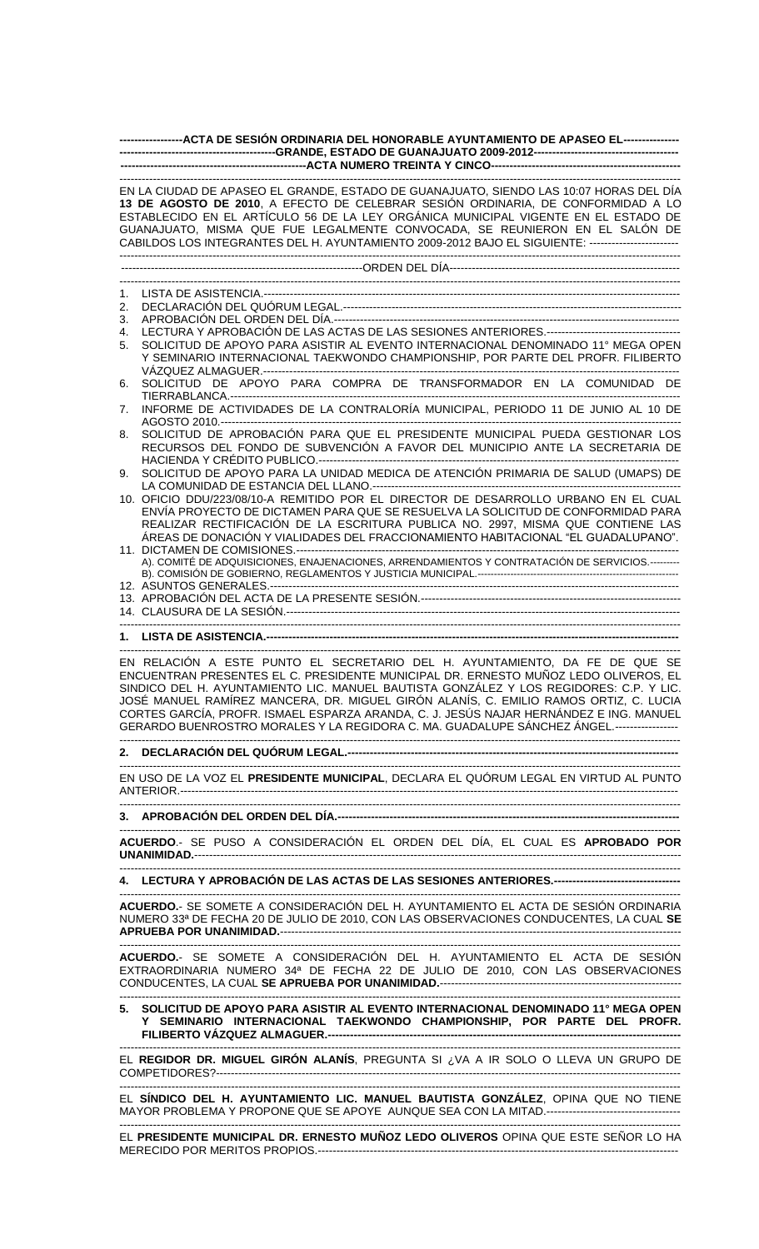| ------------------ACTA DE SESIÓN ORDINARIA DEL HONORABLE AYUNTAMIENTO DE APASEO EL----------------                                                                                                                                                                                                                                                                                                                                                     |                                                                                                                                                                                                                                                                                                                                                                                                                                                                                                                                                                                                                                                                            |
|--------------------------------------------------------------------------------------------------------------------------------------------------------------------------------------------------------------------------------------------------------------------------------------------------------------------------------------------------------------------------------------------------------------------------------------------------------|----------------------------------------------------------------------------------------------------------------------------------------------------------------------------------------------------------------------------------------------------------------------------------------------------------------------------------------------------------------------------------------------------------------------------------------------------------------------------------------------------------------------------------------------------------------------------------------------------------------------------------------------------------------------------|
|                                                                                                                                                                                                                                                                                                                                                                                                                                                        |                                                                                                                                                                                                                                                                                                                                                                                                                                                                                                                                                                                                                                                                            |
| EN LA CIUDAD DE APASEO EL GRANDE, ESTADO DE GUANAJUATO, SIENDO LAS 10:07 HORAS DEL DÍA<br>13 DE AGOSTO DE 2010, A EFECTO DE CELEBRAR SESIÓN ORDINARIA, DE CONFORMIDAD A LO<br>ESTABLECIDO EN EL ARTÍCULO 56 DE LA LEY ORGÁNICA MUNICIPAL VIGENTE EN EL ESTADO DE<br>GUANAJUATO, MISMA QUE FUE LEGALMENTE CONVOCADA, SE REUNIERON EN EL SALÓN DE<br>CABILDOS LOS INTEGRANTES DEL H. AYUNTAMIENTO 2009-2012 BAJO EL SIGUIENTE: ------------------------- |                                                                                                                                                                                                                                                                                                                                                                                                                                                                                                                                                                                                                                                                            |
|                                                                                                                                                                                                                                                                                                                                                                                                                                                        |                                                                                                                                                                                                                                                                                                                                                                                                                                                                                                                                                                                                                                                                            |
| 1.<br>2.<br>3.<br>4.<br>5.<br>6.<br>7.<br>8.<br>9.                                                                                                                                                                                                                                                                                                                                                                                                     | SOLICITUD DE APOYO PARA ASISTIR AL EVENTO INTERNACIONAL DENOMINADO 11° MEGA OPEN<br>Y SEMINARIO INTERNACIONAL TAEKWONDO CHAMPIONSHIP, POR PARTE DEL PROFR. FILIBERTO<br>SOLICITUD DE APOYO PARA COMPRA DE TRANSFORMADOR EN LA COMUNIDAD DE<br>INFORME DE ACTIVIDADES DE LA CONTRALORÍA MUNICIPAL, PERIODO 11 DE JUNIO AL 10 DE<br>SOLICITUD DE APROBACIÓN PARA QUE EL PRESIDENTE MUNICIPAL PUEDA GESTIONAR LOS<br>RECURSOS DEL FONDO DE SUBVENCIÓN A FAVOR DEL MUNICIPIO ANTE LA SECRETARIA DE<br>SOLICITUD DE APOYO PARA LA UNIDAD MEDICA DE ATENCIÓN PRIMARIA DE SALUD (UMAPS) DE<br>10. OFICIO DDU/223/08/10-A REMITIDO POR EL DIRECTOR DE DESARROLLO URBANO EN EL CUAL |
|                                                                                                                                                                                                                                                                                                                                                                                                                                                        | ENVÍA PROYECTO DE DICTAMEN PARA QUE SE RESUELVA LA SOLICITUD DE CONFORMIDAD PARA<br>REALIZAR RECTIFICACIÓN DE LA ESCRITURA PUBLICA NO. 2997, MISMA QUE CONTIENE LAS<br>ÁREAS DE DONACIÓN Y VIALIDADES DEL FRACCIONAMIENTO HABITACIONAL "EL GUADALUPANO".<br>A). COMITÉ DE ADQUISICIONES, ENAJENACIONES, ARRENDAMIENTOS Y CONTRATACIÓN DE SERVICIOS.---------                                                                                                                                                                                                                                                                                                               |
|                                                                                                                                                                                                                                                                                                                                                                                                                                                        |                                                                                                                                                                                                                                                                                                                                                                                                                                                                                                                                                                                                                                                                            |
|                                                                                                                                                                                                                                                                                                                                                                                                                                                        | EN RELACIÓN A ESTE PUNTO EL SECRETARIO DEL H. AYUNTAMIENTO, DA FE DE QUE SE<br>ENCUENTRAN PRESENTES EL C. PRESIDENTE MUNICIPAL DR. ERNESTO MUÑOZ LEDO OLIVEROS, EL<br>SINDICO DEL H. AYUNTAMIENTO LIC. MANUEL BAUTISTA GONZALEZ Y LOS REGIDORES: C.P. Y LIC.<br>JOSÉ MANUEL RAMÍREZ MANCERA, DR. MIGUEL GIRÓN ALANÍS, C. EMILIO RAMOS ORTIZ, C. LUCIA<br>CORTES GARCÍA, PROFR. ISMAEL ESPARZA ARANDA, C. J. JESÚS NAJAR HERNÁNDEZ E ING. MANUEL<br>GERARDO BUENROSTRO MORALES Y LA REGIDORA C. MA. GUADALUPE SÁNCHEZ ÁNGEL.----------------                                                                                                                                |
|                                                                                                                                                                                                                                                                                                                                                                                                                                                        |                                                                                                                                                                                                                                                                                                                                                                                                                                                                                                                                                                                                                                                                            |
|                                                                                                                                                                                                                                                                                                                                                                                                                                                        | EN USO DE LA VOZ EL PRESIDENTE MUNICIPAL, DECLARA EL QUÓRUM LEGAL EN VIRTUD AL PUNTO                                                                                                                                                                                                                                                                                                                                                                                                                                                                                                                                                                                       |
|                                                                                                                                                                                                                                                                                                                                                                                                                                                        |                                                                                                                                                                                                                                                                                                                                                                                                                                                                                                                                                                                                                                                                            |
|                                                                                                                                                                                                                                                                                                                                                                                                                                                        | ACUERDO.- SE PUSO A CONSIDERACIÓN EL ORDEN DEL DÍA, EL CUAL ES APROBADO POR                                                                                                                                                                                                                                                                                                                                                                                                                                                                                                                                                                                                |
|                                                                                                                                                                                                                                                                                                                                                                                                                                                        | 4. LECTURA Y APROBACIÓN DE LAS ACTAS DE LAS SESIONES ANTERIORES.-----------------------------------                                                                                                                                                                                                                                                                                                                                                                                                                                                                                                                                                                        |
|                                                                                                                                                                                                                                                                                                                                                                                                                                                        | ACUERDO.- SE SOMETE A CONSIDERACIÓN DEL H. AYUNTAMIENTO EL ACTA DE SESIÓN ORDINARIA<br>NUMERO 33ª DE FECHA 20 DE JULIO DE 2010, CON LAS OBSERVACIONES CONDUCENTES, LA CUAL SE                                                                                                                                                                                                                                                                                                                                                                                                                                                                                              |
|                                                                                                                                                                                                                                                                                                                                                                                                                                                        | ACUERDO.- SE SOMETE A CONSIDERACIÓN DEL H. AYUNTAMIENTO EL ACTA DE SESIÓN<br>EXTRAORDINARIA NUMERO 34ª DE FECHA 22 DE JULIO DE 2010, CON LAS OBSERVACIONES                                                                                                                                                                                                                                                                                                                                                                                                                                                                                                                 |
|                                                                                                                                                                                                                                                                                                                                                                                                                                                        | 5. SOLICITUD DE APOYO PARA ASISTIR AL EVENTO INTERNACIONAL DENOMINADO 11º MEGA OPEN<br>Y SEMINARIO INTERNACIONAL TAEKWONDO CHAMPIONSHIP, POR PARTE DEL PROFR.                                                                                                                                                                                                                                                                                                                                                                                                                                                                                                              |
|                                                                                                                                                                                                                                                                                                                                                                                                                                                        | EL REGIDOR DR. MIGUEL GIRÓN ALANÍS, PREGUNTA SI ¿VA A IR SOLO O LLEVA UN GRUPO DE                                                                                                                                                                                                                                                                                                                                                                                                                                                                                                                                                                                          |
| EL SÍNDICO DEL H. AYUNTAMIENTO LIC. MANUEL BAUTISTA GONZÁLEZ, OPINA QUE NO TIENE                                                                                                                                                                                                                                                                                                                                                                       |                                                                                                                                                                                                                                                                                                                                                                                                                                                                                                                                                                                                                                                                            |

EL **PRESIDENTE MUNICIPAL DR. ERNESTO MUÑOZ LEDO OLIVEROS** OPINA QUE ESTE SEÑOR LO HA MERECIDO POR MERITOS PROPIOS.-------------------------------------------------------------------------------------------------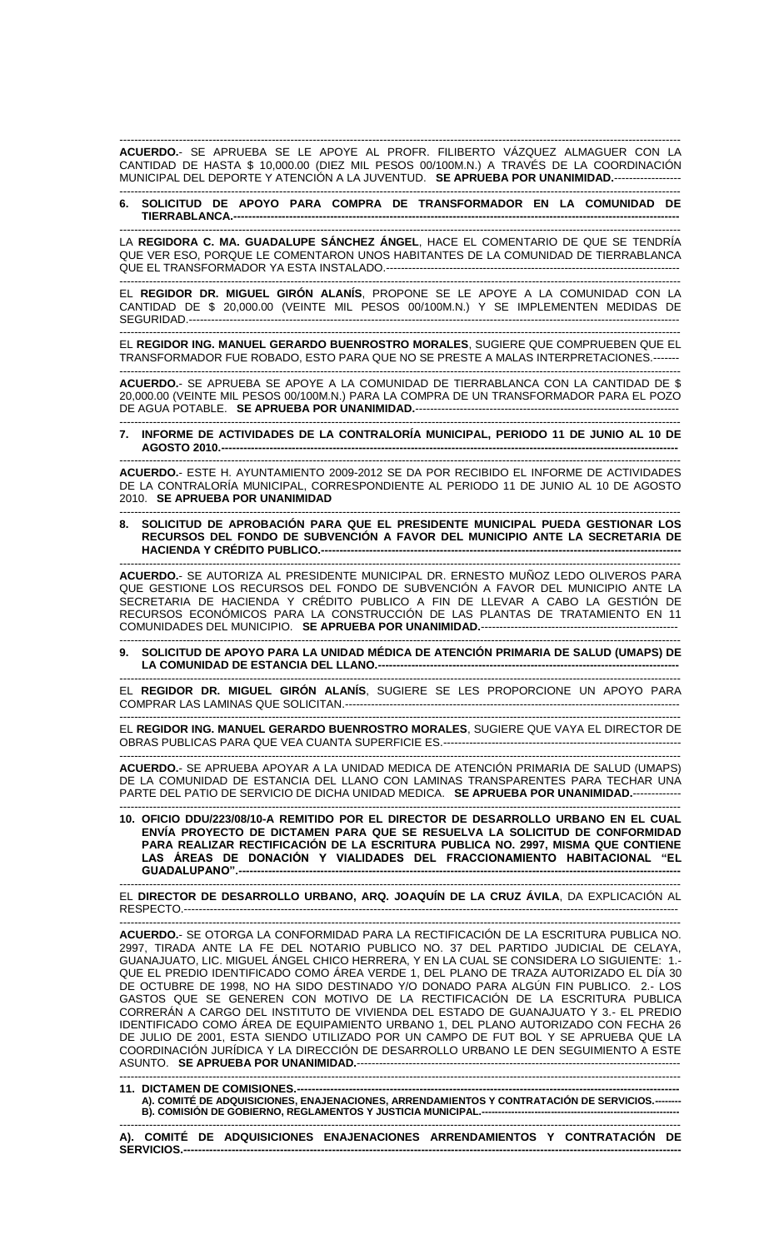------------------------------------------------------------------------------------------------------------------------------------------------------- **ACUERDO.**- SE APRUEBA SE LE APOYE AL PROFR. FILIBERTO VÁZQUEZ ALMAGUER CON LA CANTIDAD DE HASTA \$ 10,000.00 (DIEZ MIL PESOS 00/100M.N.) A TRAVÉS DE LA COORDINACIÓN MUNICIPAL DEL DEPORTE Y ATENCIÓN A LA JUVENTUD. **SE APRUEBA POR UNANIMIDAD.**---

------------------------------------------------------------------------------------------------------------------------------------------------------- **6. SOLICITUD DE APOYO PARA COMPRA DE TRANSFORMADOR EN LA COMUNIDAD DE TIERRABLANCA.---**

------------------------------------------------------------------------------------------------------------------------------------------------------- LA **REGIDORA C. MA. GUADALUPE SÁNCHEZ ÁNGEL**, HACE EL COMENTARIO DE QUE SE TENDRÍA QUE VER ESO, PORQUE LE COMENTARON UNOS HABITANTES DE LA COMUNIDAD DE TIERRABLANCA QUE EL TRANSFORMADOR YA ESTA INSTALADO.-------------------------------------------------------------------------------

------------------------------------------------------------------------------------------------------------------------------------------------------- EL **REGIDOR DR. MIGUEL GIRÓN ALANÍS**, PROPONE SE LE APOYE A LA COMUNIDAD CON LA CANTIDAD DE \$ 20,000.00 (VEINTE MIL PESOS 00/100M.N.) Y SE IMPLEMENTEN MEDIDAS DE SEGURIDAD ---------------------------

------------------------------------------------------------------------------------------------------------------------------------------------------- EL **REGIDOR ING. MANUEL GERARDO BUENROSTRO MORALES**, SUGIERE QUE COMPRUEBEN QUE EL TRANSFORMADOR FUE ROBADO, ESTO PARA QUE NO SE PRESTE A MALAS INTERPRETACIONES.---

------------------------------------------------------------------------------------------------------------------------------------------------------- **ACUERDO.**- SE APRUEBA SE APOYE A LA COMUNIDAD DE TIERRABLANCA CON LA CANTIDAD DE \$ 20,000.00 (VEINTE MIL PESOS 00/100M.N.) PARA LA COMPRA DE UN TRANSFORMADOR PARA EL POZO DE AGUA POTABLE. **SE APRUEBA POR UNANIMIDAD.**-----------------------------------------------------------------------

------------------------------------------------------------------------------------------------------------------------------------------------------- **7. INFORME DE ACTIVIDADES DE LA CONTRALORÍA MUNICIPAL, PERIODO 11 DE JUNIO AL 10 DE AGOSTO 2010.---------------------------------------------------------------------------------------------------------------------------**

------------------------------------------------------------------------------------------------------------------------------------------------------- **ACUERDO.**- ESTE H. AYUNTAMIENTO 2009-2012 SE DA POR RECIBIDO EL INFORME DE ACTIVIDADES DE LA CONTRALORÍA MUNICIPAL, CORRESPONDIENTE AL PERIODO 11 DE JUNIO AL 10 DE AGOSTO 2010. **SE APRUEBA POR UNANIMIDAD**

------------------------------------------------------------------------------------------------------------------------------------------------------- **8. SOLICITUD DE APROBACIÓN PARA QUE EL PRESIDENTE MUNICIPAL PUEDA GESTIONAR LOS RECURSOS DEL FONDO DE SUBVENCIÓN A FAVOR DEL MUNICIPIO ANTE LA SECRETARIA DE HACIENDA Y CRÉDITO PUBLICO.----**

------------------------------------------------------------------------------------------------------------------------------------------------------- **ACUERDO.**- SE AUTORIZA AL PRESIDENTE MUNICIPAL DR. ERNESTO MUÑOZ LEDO OLIVEROS PARA QUE GESTIONE LOS RECURSOS DEL FONDO DE SUBVENCIÓN A FAVOR DEL MUNICIPIO ANTE LA SECRETARIA DE HACIENDA Y CRÉDITO PUBLICO A FIN DE LLEVAR A CABO LA GESTIÓN DE RECURSOS ECONÓMICOS PARA LA CONSTRUCCIÓN DE LAS PLANTAS DE TRATAMIENTO EN 11 COMUNIDADES DEL MUNICIPIO. **SE APRUEBA POR UNANIMIDAD.**-----------------------------------------------------

------------------------------------------------------------------------------------------------------------------------------------------------------- **9. SOLICITUD DE APOYO PARA LA UNIDAD MÉDICA DE ATENCIÓN PRIMARIA DE SALUD (UMAPS) DE LA COMUNIDAD DE ESTANCIA DEL LLANO.---------------------------------------------------------------------------------**

------------------------------------------------------------------------------------------------------------------------------------------------------- EL **REGIDOR DR. MIGUEL GIRÓN ALANÍS**, SUGIERE SE LES PROPORCIONE UN APOYO PARA COMPRAR LAS LAMINAS QUE SOLICITAN.-----------------------

------------------------------------------------------------------------------------------------------------------------------------------------------- EL **REGIDOR ING. MANUEL GERARDO BUENROSTRO MORALES**, SUGIERE QUE VAYA EL DIRECTOR DE OBRAS PUBLICAS PARA QUE VEA CUANTA SUPERFICIE ES.---------------------------------

------------------------------------------------------------------------------------------------------------------------------------------------------- **ACUERDO.**- SE APRUEBA APOYAR A LA UNIDAD MEDICA DE ATENCIÓN PRIMARIA DE SALUD (UMAPS) DE LA COMUNIDAD DE ESTANCIA DEL LLANO CON LAMINAS TRANSPARENTES PARA TECHAR UNA PARTE DEL PATIO DE SERVICIO DE DICHA UNIDAD MEDICA. **SE APRUEBA POR UNANIMIDAD.**-------------

------------------------------------------------------------------------------------------------------------------------------------------------------- **10. OFICIO DDU/223/08/10-A REMITIDO POR EL DIRECTOR DE DESARROLLO URBANO EN EL CUAL ENVÍA PROYECTO DE DICTAMEN PARA QUE SE RESUELVA LA SOLICITUD DE CONFORMIDAD PARA REALIZAR RECTIFICACIÓN DE LA ESCRITURA PUBLICA NO. 2997, MISMA QUE CONTIENE LAS ÁREAS DE DONACIÓN Y VIALIDADES DEL FRACCIONAMIENTO HABITACIONAL "EL**   $GUADALUPANO''.$ 

------------------------------------------------------------------------------------------------------------------------------------------------------- EL **DIRECTOR DE DESARROLLO URBANO, ARQ. JOAQUÍN DE LA CRUZ ÁVILA**, DA EXPLICACIÓN AL RESPECTO.-------------------------------------------------------------------------------------------------------------------------------------

------------------------------------------------------------------------------------------------------------------------------------------------------- **ACUERDO.**- SE OTORGA LA CONFORMIDAD PARA LA RECTIFICACIÓN DE LA ESCRITURA PUBLICA NO. 2997, TIRADA ANTE LA FE DEL NOTARIO PUBLICO NO. 37 DEL PARTIDO JUDICIAL DE CELAYA, GUANAJUATO, LIC. MIGUEL ÁNGEL CHICO HERRERA, Y EN LA CUAL SE CONSIDERA LO SIGUIENTE: 1.- QUE EL PREDIO IDENTIFICADO COMO ÁREA VERDE 1, DEL PLANO DE TRAZA AUTORIZADO EL DÍA 30 DE OCTUBRE DE 1998, NO HA SIDO DESTINADO Y/O DONADO PARA ALGÚN FIN PUBLICO. 2.- LOS GASTOS QUE SE GENEREN CON MOTIVO DE LA RECTIFICACIÓN DE LA ESCRITURA PUBLICA CORRERÁN A CARGO DEL INSTITUTO DE VIVIENDA DEL ESTADO DE GUANAJUATO Y 3.- EL PREDIO IDENTIFICADO COMO ÁREA DE EQUIPAMIENTO URBANO 1, DEL PLANO AUTORIZADO CON FECHA 26 DE JULIO DE 2001, ESTA SIENDO UTILIZADO POR UN CAMPO DE FUT BOL Y SE APRUEBA QUE LA COORDINACIÓN JURÍDICA Y LA DIRECCIÓN DE DESARROLLO URBANO LE DEN SEGUIMIENTO A ESTE ASUNTO. **SE APRUEBA POR UNANIMIDAD.**----

**11. DICTAMEN DE COMISIONES.---A). COMITÉ DE ADQUISICIONES, ENAJENACIONES, ARRENDAMIENTOS Y CONTRATACIÓN DE SERVICIOS.-------- B). COMISIÓN DE GOBIERNO, REGLAMENTOS Y JUSTICIA MUNICIPAL.------------------------------------------------------------** -------------------------------------------------------------------------------------------------------------------------------------------------------

-------------------------------------------------------------------------------------------------------------------------------------------------------

**A). COMITÉ DE ADQUISICIONES ENAJENACIONES ARRENDAMIENTOS Y CONTRATACIÓN DE**  SERVICIOS.-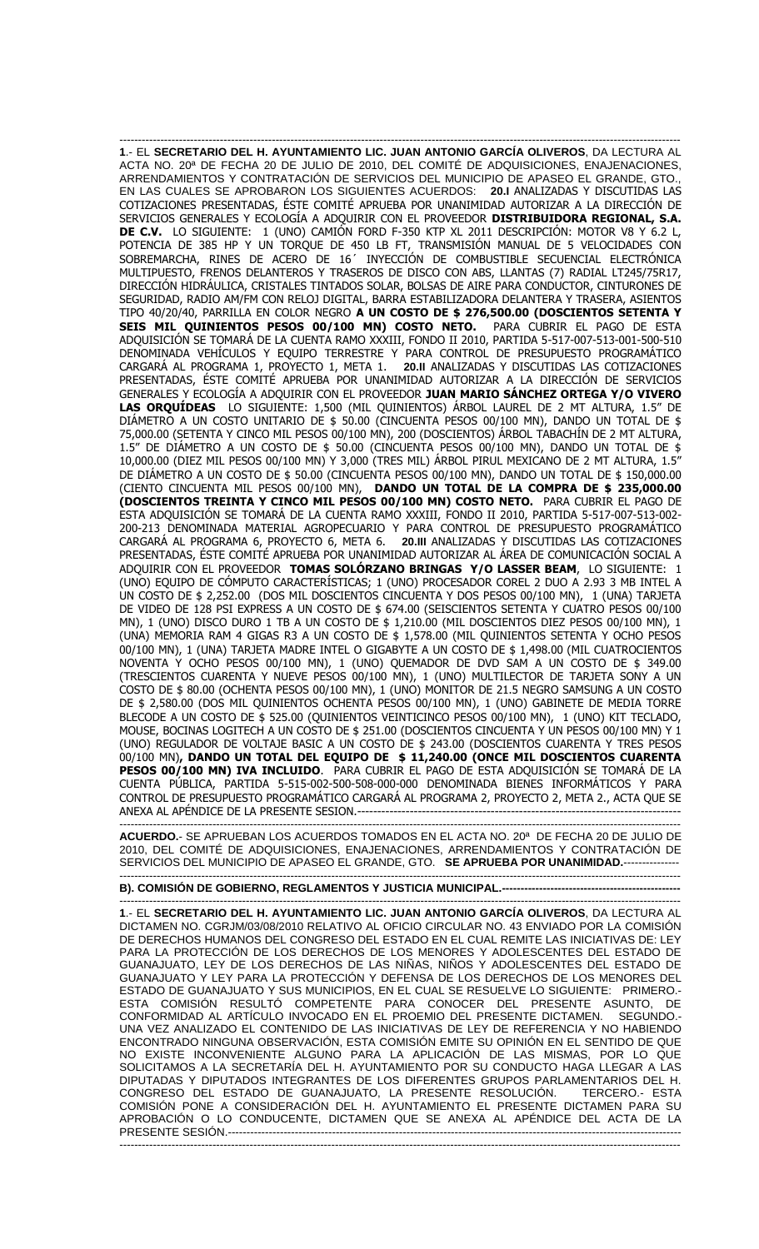------------------------------------------------------------------------------------------------------------------------------------------------------- **1**.- EL **SECRETARIO DEL H. AYUNTAMIENTO LIC. JUAN ANTONIO GARCÍA OLIVEROS**, DA LECTURA AL ACTA NO. 20ª DE FECHA 20 DE JULIO DE 2010, DEL COMITÉ DE ADQUISICIONES, ENAJENACIONES, ARRENDAMIENTOS Y CONTRATACIÓN DE SERVICIOS DEL MUNICIPIO DE APASEO EL GRANDE, GTO., EN LAS CUALES SE APROBARON LOS SIGUIENTES ACUERDOS: **20.I** ANALIZADAS Y DISCUTIDAS LAS COTIZACIONES PRESENTADAS, ÉSTE COMITÉ APRUEBA POR UNANIMIDAD AUTORIZAR A LA DIRECCIÓN DE SERVICIOS GENERALES Y ECOLOGÍA A ADQUIRIR CON EL PROVEEDOR **DISTRIBUIDORA REGIONAL, S.A. DE C.V.** LO SIGUIENTE: 1 (UNO) CAMIÓN FORD F-350 KTP XL 2011 DESCRIPCIÓN: MOTOR V8 Y 6.2 L, POTENCIA DE 385 HP Y UN TORQUE DE 450 LB FT, TRANSMISIÓN MANUAL DE 5 VELOCIDADES CON SOBREMARCHA, RINES DE ACERO DE 16´ INYECCIÓN DE COMBUSTIBLE SECUENCIAL ELECTRÓNICA MULTIPUESTO, FRENOS DELANTEROS Y TRASEROS DE DISCO CON ABS, LLANTAS (7) RADIAL LT245/75R17, DIRECCIÓN HIDRÁULICA, CRISTALES TINTADOS SOLAR, BOLSAS DE AIRE PARA CONDUCTOR, CINTURONES DE SEGURIDAD, RADIO AM/FM CON RELOJ DIGITAL, BARRA ESTABILIZADORA DELANTERA Y TRASERA, ASIENTOS TIPO 40/20/40, PARRILLA EN COLOR NEGRO **A UN COSTO DE \$ 276,500.00 (DOSCIENTOS SETENTA Y SEIS MIL QUINIENTOS PESOS 00/100 MN) COSTO NETO.** PARA CUBRIR EL PAGO DE ESTA ADQUISICIÓN SE TOMARÁ DE LA CUENTA RAMO XXXIII, FONDO II 2010, PARTIDA 5-517-007-513-001-500-510 DENOMINADA VEHÍCULOS Y EQUIPO TERRESTRE Y PARA CONTROL DE PRESUPUESTO PROGRAMÁTICO CARGARÁ AL PROGRAMA 1, PROYECTO 1, META 1. **20.II** ANALIZADAS Y DISCUTIDAS LAS COTIZACIONES PRESENTADAS, ÉSTE COMITÉ APRUEBA POR UNANIMIDAD AUTORIZAR A LA DIRECCIÓN DE SERVICIOS GENERALES Y ECOLOGÍA A ADQUIRIR CON EL PROVEEDOR **JUAN MARIO SÁNCHEZ ORTEGA Y/O VIVERO LAS ORQUÍDEAS** LO SIGUIENTE: 1,500 (MIL QUINIENTOS) ÁRBOL LAUREL DE 2 MT ALTURA, 1.5" DE DIÁMETRO A UN COSTO UNITARIO DE \$ 50.00 (CINCUENTA PESOS 00/100 MN), DANDO UN TOTAL DE \$ 75,000.00 (SETENTA Y CINCO MIL PESOS 00/100 MN), 200 (DOSCIENTOS) ÁRBOL TABACHÍN DE 2 MT ALTURA, 1.5" DE DIÁMETRO A UN COSTO DE \$ 50.00 (CINCUENTA PESOS 00/100 MN), DANDO UN TOTAL DE \$ 10,000.00 (DIEZ MIL PESOS 00/100 MN) Y 3,000 (TRES MIL) ÁRBOL PIRUL MEXICANO DE 2 MT ALTURA, 1.5" DE DIÁMETRO A UN COSTO DE \$ 50.00 (CINCUENTA PESOS 00/100 MN), DANDO UN TOTAL DE \$ 150,000.00 (CIENTO CINCUENTA MIL PESOS 00/100 MN), **DANDO UN TOTAL DE LA COMPRA DE \$ 235,000.00 (DOSCIENTOS TREINTA Y CINCO MIL PESOS 00/100 MN) COSTO NETO.** PARA CUBRIR EL PAGO DE ESTA ADQUISICIÓN SE TOMARÁ DE LA CUENTA RAMO XXXIII, FONDO II 2010, PARTIDA 5-517-007-513-002- 200-213 DENOMINADA MATERIAL AGROPECUARIO Y PARA CONTROL DE PRESUPUESTO PROGRAMÁTICO CARGARÁ AL PROGRAMA 6, PROYECTO 6, META 6. **20.III** ANALIZADAS Y DISCUTIDAS LAS COTIZACIONES PRESENTADAS, ÉSTE COMITÉ APRUEBA POR UNANIMIDAD AUTORIZAR AL ÁREA DE COMUNICACIÓN SOCIAL A ADQUIRIR CON EL PROVEEDOR **TOMAS SOLÓRZANO BRINGAS Y/O LASSER BEAM**, LO SIGUIENTE: 1 (UNO) EQUIPO DE CÓMPUTO CARACTERÍSTICAS; 1 (UNO) PROCESADOR COREL 2 DUO A 2.93 3 MB INTEL A UN COSTO DE \$ 2,252.00 (DOS MIL DOSCIENTOS CINCUENTA Y DOS PESOS 00/100 MN), 1 (UNA) TARJETA DE VIDEO DE 128 PSI EXPRESS A UN COSTO DE \$ 674.00 (SEISCIENTOS SETENTA Y CUATRO PESOS 00/100 MN), 1 (UNO) DISCO DURO 1 TB A UN COSTO DE \$ 1,210.00 (MIL DOSCIENTOS DIEZ PESOS 00/100 MN), 1 (UNA) MEMORIA RAM 4 GIGAS R3 A UN COSTO DE \$ 1,578.00 (MIL QUINIENTOS SETENTA Y OCHO PESOS 00/100 MN), 1 (UNA) TARJETA MADRE INTEL O GIGABYTE A UN COSTO DE \$ 1,498.00 (MIL CUATROCIENTOS NOVENTA Y OCHO PESOS 00/100 MN), 1 (UNO) QUEMADOR DE DVD SAM A UN COSTO DE \$ 349.00 (TRESCIENTOS CUARENTA Y NUEVE PESOS 00/100 MN), 1 (UNO) MULTILECTOR DE TARJETA SONY A UN COSTO DE \$ 80.00 (OCHENTA PESOS 00/100 MN), 1 (UNO) MONITOR DE 21.5 NEGRO SAMSUNG A UN COSTO DE \$ 2,580.00 (DOS MIL QUINIENTOS OCHENTA PESOS 00/100 MN), 1 (UNO) GABINETE DE MEDIA TORRE BLECODE A UN COSTO DE \$ 525.00 (QUINIENTOS VEINTICINCO PESOS 00/100 MN), 1 (UNO) KIT TECLADO, MOUSE, BOCINAS LOGITECH A UN COSTO DE \$ 251.00 (DOSCIENTOS CINCUENTA Y UN PESOS 00/100 MN) Y 1 (UNO) REGULADOR DE VOLTAJE BASIC A UN COSTO DE \$ 243.00 (DOSCIENTOS CUARENTA Y TRES PESOS 00/100 MN)**, DANDO UN TOTAL DEL EQUIPO DE \$ 11,240.00 (ONCE MIL DOSCIENTOS CUARENTA PESOS 00/100 MN) IVA INCLUIDO**. PARA CUBRIR EL PAGO DE ESTA ADQUISICIÓN SE TOMARÁ DE LA CUENTA PÚBLICA, PARTIDA 5-515-002-500-508-000-000 DENOMINADA BIENES INFORMÁTICOS Y PARA CONTROL DE PRESUPUESTO PROGRAMÁTICO CARGARÁ AL PROGRAMA 2, PROYECTO 2, META 2., ACTA QUE SE ANEXA AL APÉNDICE DE LA PRESENTE SESION.---

------------------------------------------------------------------------------------------------------------------------------------------------------- **ACUERDO.**- SE APRUEBAN LOS ACUERDOS TOMADOS EN EL ACTA NO. 20ª DE FECHA 20 DE JULIO DE 2010, DEL COMITÉ DE ADQUISICIONES, ENAJENACIONES, ARRENDAMIENTOS Y CONTRATACIÓN DE SERVICIOS DEL MUNICIPIO DE APASEO EL GRANDE, GTO. **SE APRUEBA POR UNANIMIDAD.**---------------

## ------------------------------------------------------------------------------------------------------------------------------------------------------- **B). COMISIÓN DE GOBIERNO, REGLAMENTOS Y JUSTICIA MUNICIPAL.---**

------------------------------------------------------------------------------------------------------------------------------------------------------- **1**.- EL **SECRETARIO DEL H. AYUNTAMIENTO LIC. JUAN ANTONIO GARCÍA OLIVEROS**, DA LECTURA AL DICTAMEN NO. CGRJM/03/08/2010 RELATIVO AL OFICIO CIRCULAR NO. 43 ENVIADO POR LA COMISIÓN DE DERECHOS HUMANOS DEL CONGRESO DEL ESTADO EN EL CUAL REMITE LAS INICIATIVAS DE: LEY PARA LA PROTECCIÓN DE LOS DERECHOS DE LOS MENORES Y ADOLESCENTES DEL ESTADO DE GUANAJUATO, LEY DE LOS DERECHOS DE LAS NIÑAS, NIÑOS Y ADOLESCENTES DEL ESTADO DE GUANAJUATO Y LEY PARA LA PROTECCIÓN Y DEFENSA DE LOS DERECHOS DE LOS MENORES DEL ESTADO DE GUANAJUATO Y SUS MUNICIPIOS, EN EL CUAL SE RESUELVE LO SIGUIENTE: PRIMERO.- ESTA COMISIÓN RESULTÓ COMPETENTE PARA CONOCER DEL PRESENTE ASUNTO, DE CONFORMIDAD AL ARTÍCULO INVOCADO EN EL PROEMIO DEL PRESENTE DICTAMEN. SEGUNDO.- UNA VEZ ANALIZADO EL CONTENIDO DE LAS INICIATIVAS DE LEY DE REFERENCIA Y NO HABIENDO ENCONTRADO NINGUNA OBSERVACIÓN, ESTA COMISIÓN EMITE SU OPINIÓN EN EL SENTIDO DE QUE NO EXISTE INCONVENIENTE ALGUNO PARA LA APLICACIÓN DE LAS MISMAS, POR LO QUE SOLICITAMOS A LA SECRETARÍA DEL H. AYUNTAMIENTO POR SU CONDUCTO HAGA LLEGAR A LAS DIPUTADAS Y DIPUTADOS INTEGRANTES DE LOS DIFERENTES GRUPOS PARLAMENTARIOS DEL H. CONGRESO DEL ESTADO DE GUANAJUATO, LA PRESENTE RESOLUCIÓN. TERCERO.- ESTA COMISIÓN PONE A CONSIDERACIÓN DEL H. AYUNTAMIENTO EL PRESENTE DICTAMEN PARA SU APROBACIÓN O LO CONDUCENTE, DICTAMEN QUE SE ANEXA AL APÉNDICE DEL ACTA DE LA **PRESENTE SESIÓN.-------------------**

-------------------------------------------------------------------------------------------------------------------------------------------------------